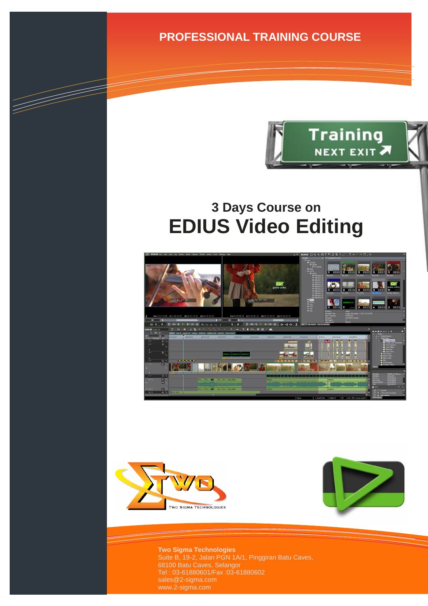**PROFESSIONAL TRAINING COURSE**



# **3 Days Course on EDIUS Video Editing**





a de de la década de la década de la década de la década de la década de la década de la década de la década d<br>Contradición de la década de la década de la década de la década de la década de la década de la década de la



**Two Sigma Technologies** Suite B, 19-2, Jalan PGN 1A/1, Pinggiran Batu Caves, 68100 Batu Caves, Selangor Tel : 03-61880601/Fax :03-61880602 www.2-sigma.com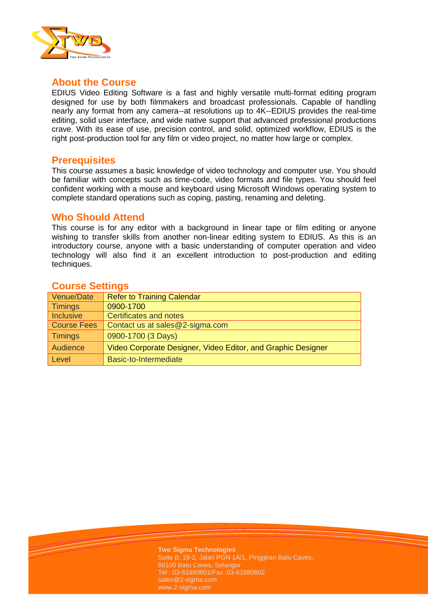

#### **About the Course**

EDIUS Video Editing Software is a fast and highly versatile multi-format editing program designed for use by both filmmakers and broadcast professionals. Capable of handling nearly any format from any camera--at resolutions up to 4K--EDIUS provides the real-time editing, solid user interface, and wide native support that advanced professional productions crave. With its ease of use, precision control, and solid, optimized workflow, EDIUS is the right post-production tool for any film or video project, no matter how large or complex.

#### **Prerequisites**

This course assumes a basic knowledge of video technology and computer use. You should be familiar with concepts such as time-code, video formats and file types. You should feel confident working with a mouse and keyboard using Microsoft Windows operating system to complete standard operations such as coping, pasting, renaming and deleting.

#### **Who Should Attend**

This course is for any editor with a background in linear tape or film editing or anyone wishing to transfer skills from another non-linear editing system to EDIUS. As this is an introductory course, anyone with a basic understanding of computer operation and video technology will also find it an excellent introduction to post-production and editing techniques.

#### **Course Settings**

| Venue/Date         | <b>Refer to Training Calendar</b>                            |  |
|--------------------|--------------------------------------------------------------|--|
| <b>Timings</b>     | 0900-1700                                                    |  |
| <b>Inclusive</b>   | <b>Certificates and notes</b>                                |  |
| <b>Course Fees</b> | Contact us at sales@2-sigma.com                              |  |
| <b>Timings</b>     | 0900-1700 (3 Days)                                           |  |
| Audience           | Video Corporate Designer, Video Editor, and Graphic Designer |  |
| Level              | Basic-to-Intermediate                                        |  |

**Two Sigma Technologies** Suite B, 19-2, Jalan PGN 1A/1, Pinggiran Batu Caves, 68100 Batu Caves, Selangor Tel : 03-61880601/Fax :03-61880602 sales@2-sigma.com www.2-sigma.com